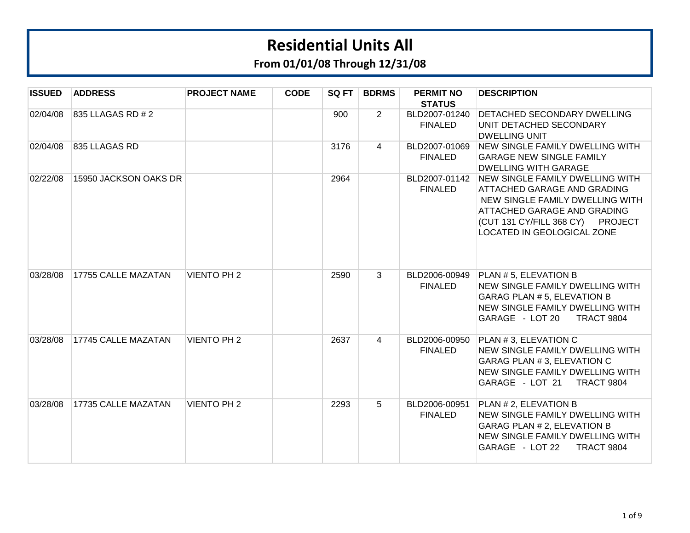**From 01/01/08 Through 12/31/08**

| <b>ISSUED</b> | <b>ADDRESS</b>        | <b>PROJECT NAME</b> | <b>CODE</b> | SQ FT | <b>BDRMS</b>   | <b>PERMIT NO</b><br><b>STATUS</b> | <b>DESCRIPTION</b>                                                                                                                                                                                               |
|---------------|-----------------------|---------------------|-------------|-------|----------------|-----------------------------------|------------------------------------------------------------------------------------------------------------------------------------------------------------------------------------------------------------------|
| 02/04/08      | 835 LLAGAS RD # 2     |                     |             | 900   | $\overline{2}$ | BLD2007-01240<br><b>FINALED</b>   | <b>DETACHED SECONDARY DWELLING</b><br>UNIT DETACHED SECONDARY<br><b>DWELLING UNIT</b>                                                                                                                            |
| 02/04/08      | 835 LLAGAS RD         |                     |             | 3176  | $\overline{4}$ | BLD2007-01069<br><b>FINALED</b>   | NEW SINGLE FAMILY DWELLING WITH<br><b>GARAGE NEW SINGLE FAMILY</b><br><b>DWELLING WITH GARAGE</b>                                                                                                                |
| 02/22/08      | 15950 JACKSON OAKS DR |                     |             | 2964  |                | BLD2007-01142<br><b>FINALED</b>   | <b>NEW SINGLE FAMILY DWELLING WITH</b><br><b>ATTACHED GARAGE AND GRADING</b><br>NEW SINGLE FAMILY DWELLING WITH<br>ATTACHED GARAGE AND GRADING<br>(CUT 131 CY/FILL 368 CY) PROJECT<br>LOCATED IN GEOLOGICAL ZONE |
| 03/28/08      | 17755 CALLE MAZATAN   | <b>VIENTO PH 2</b>  |             | 2590  | 3              | BLD2006-00949<br><b>FINALED</b>   | <b>PLAN # 5, ELEVATION B</b><br>NEW SINGLE FAMILY DWELLING WITH<br>GARAG PLAN # 5, ELEVATION B<br>NEW SINGLE FAMILY DWELLING WITH<br>GARAGE - LOT 20<br>TRACT 9804                                               |
| 03/28/08      | 17745 CALLE MAZATAN   | <b>VIENTO PH 2</b>  |             | 2637  | $\overline{4}$ | BLD2006-00950<br><b>FINALED</b>   | PLAN # 3, ELEVATION C<br>NEW SINGLE FAMILY DWELLING WITH<br>GARAG PLAN # 3, ELEVATION C<br>NEW SINGLE FAMILY DWELLING WITH<br>GARAGE - LOT 21<br><b>TRACT 9804</b>                                               |
| 03/28/08      | 17735 CALLE MAZATAN   | <b>VIENTO PH 2</b>  |             | 2293  | 5              | BLD2006-00951<br><b>FINALED</b>   | PLAN # 2, ELEVATION B<br>NEW SINGLE FAMILY DWELLING WITH<br>GARAG PLAN # 2, ELEVATION B<br>NEW SINGLE FAMILY DWELLING WITH<br>GARAGE - LOT 22<br><b>TRACT 9804</b>                                               |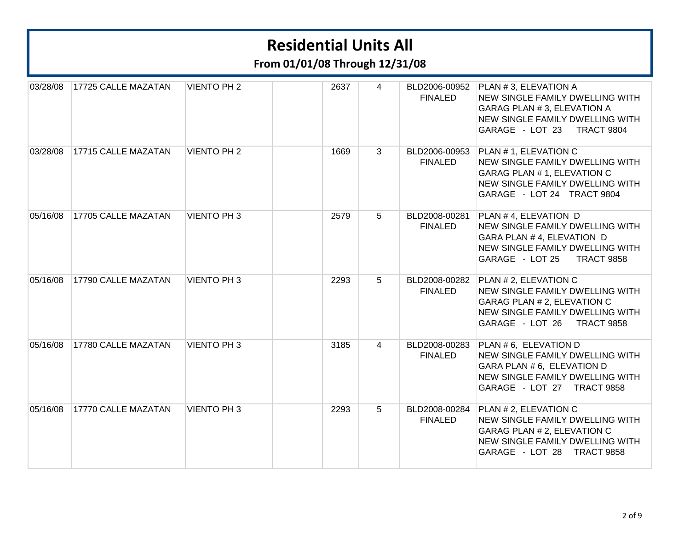**From 01/01/08 Through 12/31/08**

| 03/28/08 | 17725 CALLE MAZATAN | <b>VIENTO PH 2</b> | 2637 | 4              | <b>FINALED</b>                  | BLD2006-00952   PLAN # 3, ELEVATION A<br>NEW SINGLE FAMILY DWELLING WITH<br>GARAG PLAN # 3, ELEVATION A<br>NEW SINGLE FAMILY DWELLING WITH<br>GARAGE - LOT 23 TRACT 9804             |
|----------|---------------------|--------------------|------|----------------|---------------------------------|--------------------------------------------------------------------------------------------------------------------------------------------------------------------------------------|
| 03/28/08 | 17715 CALLE MAZATAN | <b>VIENTO PH 2</b> | 1669 | $\overline{3}$ | BLD2006-00953<br><b>FINALED</b> | PLAN # 1, ELEVATION C<br><b>NEW SINGLE FAMILY DWELLING WITH</b><br>GARAG PLAN # 1, ELEVATION C<br>NEW SINGLE FAMILY DWELLING WITH<br>GARAGE - LOT 24 TRACT 9804                      |
| 05/16/08 | 17705 CALLE MAZATAN | <b>VIENTO PH3</b>  | 2579 | 5              | BLD2008-00281<br><b>FINALED</b> | PLAN # 4, ELEVATION D<br>NEW SINGLE FAMILY DWELLING WITH<br>GARA PLAN # 4, ELEVATION D<br>NEW SINGLE FAMILY DWELLING WITH<br>GARAGE - LOT 25<br><b>TRACT 9858</b>                    |
| 05/16/08 | 17790 CALLE MAZATAN | <b>VIENTO PH3</b>  | 2293 | 5              | <b>FINALED</b>                  | BLD2008-00282 PLAN # 2, ELEVATION C<br><b>NEW SINGLE FAMILY DWELLING WITH</b><br><b>GARAG PLAN # 2, ELEVATION C</b><br>NEW SINGLE FAMILY DWELLING WITH<br>GARAGE - LOT 26 TRACT 9858 |
| 05/16/08 | 17780 CALLE MAZATAN | <b>VIENTO PH3</b>  | 3185 | $\overline{4}$ | BLD2008-00283<br><b>FINALED</b> | PLAN # 6, ELEVATION D<br>NEW SINGLE FAMILY DWELLING WITH<br>GARA PLAN # 6, ELEVATION D<br>NEW SINGLE FAMILY DWELLING WITH<br>GARAGE - LOT 27 TRACT 9858                              |
| 05/16/08 | 17770 CALLE MAZATAN | <b>VIENTO PH3</b>  | 2293 | 5              | BLD2008-00284<br><b>FINALED</b> | PLAN # 2, ELEVATION C<br><b>NEW SINGLE FAMILY DWELLING WITH</b><br>GARAG PLAN # 2, ELEVATION C<br>NEW SINGLE FAMILY DWELLING WITH<br>GARAGE - LOT 28<br><b>TRACT 9858</b>            |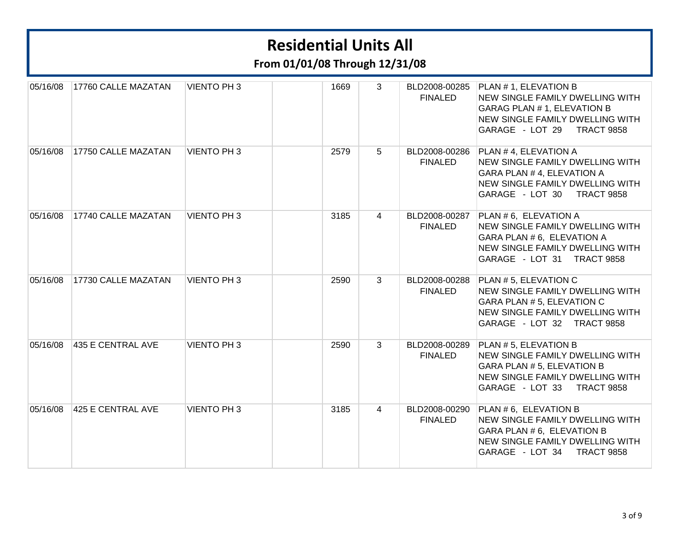**From 01/01/08 Through 12/31/08**

| 05/16/08 | 17760 CALLE MAZATAN | <b>VIENTO PH3</b> | 1669 | 3              | BLD2008-00285<br><b>FINALED</b> | <b>PLAN # 1, ELEVATION B</b><br>NEW SINGLE FAMILY DWELLING WITH<br>GARAG PLAN # 1, ELEVATION B<br>NEW SINGLE FAMILY DWELLING WITH<br>GARAGE - LOT 29 TRACT 9858          |
|----------|---------------------|-------------------|------|----------------|---------------------------------|--------------------------------------------------------------------------------------------------------------------------------------------------------------------------|
| 05/16/08 | 17750 CALLE MAZATAN | <b>VIENTO PH3</b> | 2579 | 5              | BLD2008-00286<br><b>FINALED</b> | PLAN # 4, ELEVATION A<br>NEW SINGLE FAMILY DWELLING WITH<br>GARA PLAN # 4, ELEVATION A<br>NEW SINGLE FAMILY DWELLING WITH<br>GARAGE - LOT 30<br><b>TRACT 9858</b>        |
| 05/16/08 | 17740 CALLE MAZATAN | <b>VIENTO PH3</b> | 3185 | $\overline{4}$ | BLD2008-00287<br><b>FINALED</b> | PLAN # 6, ELEVATION A<br>NEW SINGLE FAMILY DWELLING WITH<br>GARA PLAN # 6, ELEVATION A<br>NEW SINGLE FAMILY DWELLING WITH<br>GARAGE - LOT 31 TRACT 9858                  |
| 05/16/08 | 17730 CALLE MAZATAN | <b>VIENTO PH3</b> | 2590 | $\overline{3}$ | BLD2008-00288<br><b>FINALED</b> | PLAN # 5, ELEVATION C<br><b>NEW SINGLE FAMILY DWELLING WITH</b><br>GARA PLAN # 5, ELEVATION C<br>NEW SINGLE FAMILY DWELLING WITH<br>GARAGE - LOT 32 TRACT 9858           |
| 05/16/08 | 435 E CENTRAL AVE   | <b>VIENTO PH3</b> | 2590 | 3              | BLD2008-00289<br><b>FINALED</b> | PLAN # 5, ELEVATION B<br>NEW SINGLE FAMILY DWELLING WITH<br>GARA PLAN # 5, ELEVATION B<br>NEW SINGLE FAMILY DWELLING WITH<br>GARAGE - LOT 33 TRACT 9858                  |
| 05/16/08 | 425 E CENTRAL AVE   | <b>VIENTO PH3</b> | 3185 | $\overline{4}$ | BLD2008-00290<br><b>FINALED</b> | PLAN # 6, ELEVATION B<br><b>NEW SINGLE FAMILY DWELLING WITH</b><br>GARA PLAN # 6, ELEVATION B<br>NEW SINGLE FAMILY DWELLING WITH<br>GARAGE - LOT 34<br><b>TRACT 9858</b> |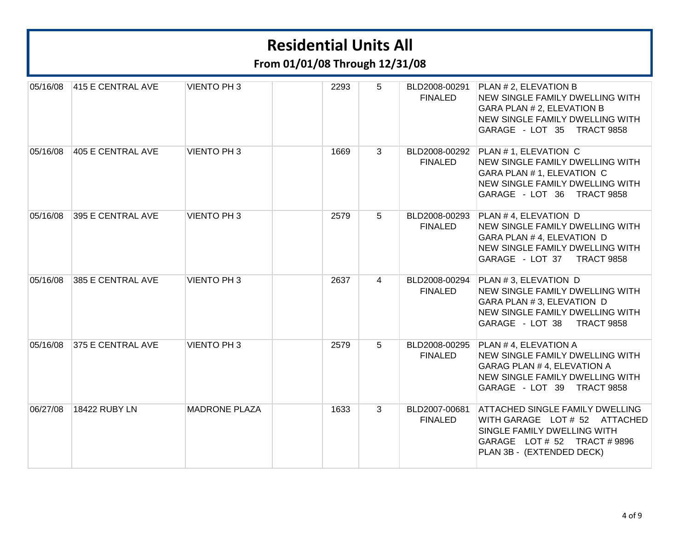**From 01/01/08 Through 12/31/08**

| 05/16/08 | 415 E CENTRAL AVE    | <b>VIENTO PH3</b>    | 2293 | 5              | BLD2008-00291<br><b>FINALED</b> | PLAN # 2, ELEVATION B<br>NEW SINGLE FAMILY DWELLING WITH<br>GARA PLAN # 2, ELEVATION B<br>NEW SINGLE FAMILY DWELLING WITH<br>GARAGE - LOT 35 TRACT 9858             |
|----------|----------------------|----------------------|------|----------------|---------------------------------|---------------------------------------------------------------------------------------------------------------------------------------------------------------------|
| 05/16/08 | 405 E CENTRAL AVE    | <b>VIENTO PH3</b>    | 1669 | 3              | BLD2008-00292<br><b>FINALED</b> | <b>PLAN # 1, ELEVATION C</b><br>NEW SINGLE FAMILY DWELLING WITH<br>GARA PLAN # 1, ELEVATION C<br>NEW SINGLE FAMILY DWELLING WITH<br>GARAGE - LOT 36 TRACT 9858      |
| 05/16/08 | 395 E CENTRAL AVE    | <b>VIENTO PH3</b>    | 2579 | 5              | BLD2008-00293<br><b>FINALED</b> | PLAN # 4, ELEVATION D<br>NEW SINGLE FAMILY DWELLING WITH<br>GARA PLAN # 4, ELEVATION D<br>NEW SINGLE FAMILY DWELLING WITH<br>GARAGE - LOT 37 TRACT 9858             |
| 05/16/08 | 385 E CENTRAL AVE    | <b>VIENTO PH3</b>    | 2637 | $\overline{4}$ | BLD2008-00294<br><b>FINALED</b> | <b>PLAN #3, ELEVATION D</b><br>NEW SINGLE FAMILY DWELLING WITH<br>GARA PLAN # 3, ELEVATION D<br>NEW SINGLE FAMILY DWELLING WITH<br>GARAGE - LOT 38 TRACT 9858       |
| 05/16/08 | 375 E CENTRAL AVE    | <b>VIENTO PH3</b>    | 2579 | 5              | BLD2008-00295<br><b>FINALED</b> | PLAN #4, ELEVATION A<br>NEW SINGLE FAMILY DWELLING WITH<br>GARAG PLAN # 4, ELEVATION A<br>NEW SINGLE FAMILY DWELLING WITH<br>GARAGE - LOT 39 TRACT 9858             |
| 06/27/08 | <b>18422 RUBY LN</b> | <b>MADRONE PLAZA</b> | 1633 | 3              | BLD2007-00681<br><b>FINALED</b> | <b>ATTACHED SINGLE FAMILY DWELLING</b><br>WITH GARAGE LOT # 52 ATTACHED<br>SINGLE FAMILY DWELLING WITH<br>GARAGE LOT # 52 TRACT # 9896<br>PLAN 3B - (EXTENDED DECK) |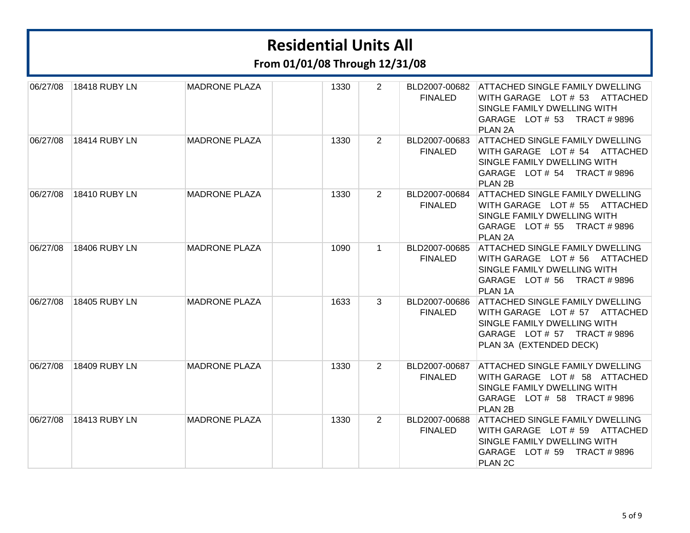**From 01/01/08 Through 12/31/08**

| 06/27/08 | 18418 RUBY LN        | <b>MADRONE PLAZA</b> | 1330 | 2              | BLD2007-00682<br><b>FINALED</b> | <b>ATTACHED SINGLE FAMILY DWELLING</b><br>WITH GARAGE LOT # 53<br>ATTACHED<br>SINGLE FAMILY DWELLING WITH<br>GARAGE LOT # 53 TRACT # 9896<br>PLAN <sub>2A</sub>   |
|----------|----------------------|----------------------|------|----------------|---------------------------------|-------------------------------------------------------------------------------------------------------------------------------------------------------------------|
| 06/27/08 | 18414 RUBY LN        | <b>MADRONE PLAZA</b> | 1330 | $\overline{2}$ | BLD2007-00683<br><b>FINALED</b> | <b>ATTACHED SINGLE FAMILY DWELLING</b><br>WITH GARAGE LOT # 54 ATTACHED<br>SINGLE FAMILY DWELLING WITH<br>GARAGE LOT # 54 TRACT # 9896<br>PLAN <sub>2B</sub>      |
| 06/27/08 | <b>18410 RUBY LN</b> | <b>MADRONE PLAZA</b> | 1330 | 2 <sup>1</sup> | BLD2007-00684<br><b>FINALED</b> | <b>ATTACHED SINGLE FAMILY DWELLING</b><br>WITH GARAGE LOT # 55<br>ATTACHED<br>SINGLE FAMILY DWELLING WITH<br>GARAGE LOT # 55 TRACT # 9896<br>PLAN <sub>2A</sub>   |
| 06/27/08 | <b>18406 RUBY LN</b> | <b>MADRONE PLAZA</b> | 1090 | $\mathbf{1}$   | BLD2007-00685<br><b>FINALED</b> | <b>ATTACHED SINGLE FAMILY DWELLING</b><br>WITH GARAGE LOT # 56 ATTACHED<br>SINGLE FAMILY DWELLING WITH<br>GARAGE LOT # 56 TRACT # 9896<br>PLAN <sub>1A</sub>      |
| 06/27/08 | 18405 RUBY LN        | <b>MADRONE PLAZA</b> | 1633 | 3              | BLD2007-00686<br><b>FINALED</b> | <b>ATTACHED SINGLE FAMILY DWELLING</b><br>WITH GARAGE LOT # 57 ATTACHED<br>SINGLE FAMILY DWELLING WITH<br>GARAGE LOT # 57 TRACT # 9896<br>PLAN 3A (EXTENDED DECK) |
| 06/27/08 | 18409 RUBY LN        | <b>MADRONE PLAZA</b> | 1330 | $\overline{2}$ | BLD2007-00687<br><b>FINALED</b> | <b>ATTACHED SINGLE FAMILY DWELLING</b><br>WITH GARAGE LOT # 58 ATTACHED<br>SINGLE FAMILY DWELLING WITH<br>GARAGE LOT # 58 TRACT #9896<br>PLAN <sub>2B</sub>       |
| 06/27/08 | <b>18413 RUBY LN</b> | <b>MADRONE PLAZA</b> | 1330 | 2              | BLD2007-00688<br><b>FINALED</b> | <b>ATTACHED SINGLE FAMILY DWELLING</b><br>WITH GARAGE LOT # 59 ATTACHED<br>SINGLE FAMILY DWELLING WITH<br>GARAGE LOT # 59<br>TRACT # 9896<br>PLAN <sub>2C</sub>   |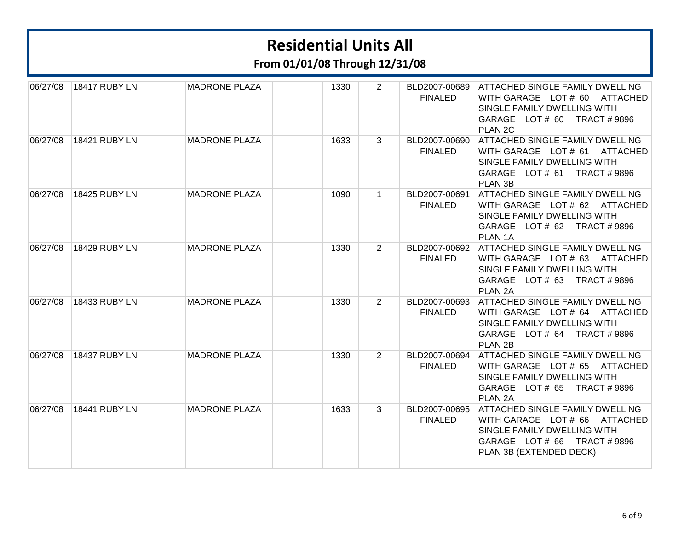**From 01/01/08 Through 12/31/08**

| 06/27/08 | 18417 RUBY LN        | <b>MADRONE PLAZA</b> | 1330 | $\overline{2}$ | BLD2007-00689<br><b>FINALED</b> | <b>ATTACHED SINGLE FAMILY DWELLING</b><br>WITH GARAGE LOT # 60<br>ATTACHED<br>SINGLE FAMILY DWELLING WITH<br>GARAGE LOT # 60<br><b>TRACT #9896</b><br>PLAN <sub>2C</sub> |
|----------|----------------------|----------------------|------|----------------|---------------------------------|--------------------------------------------------------------------------------------------------------------------------------------------------------------------------|
| 06/27/08 | 18421 RUBY LN        | <b>MADRONE PLAZA</b> | 1633 | 3              | BLD2007-00690<br><b>FINALED</b> | <b>ATTACHED SINGLE FAMILY DWELLING</b><br>WITH GARAGE LOT # 61 ATTACHED<br>SINGLE FAMILY DWELLING WITH<br>GARAGE LOT # 61<br><b>TRACT # 9896</b><br>PLAN 3B              |
| 06/27/08 | <b>18425 RUBY LN</b> | <b>MADRONE PLAZA</b> | 1090 | $\mathbf 1$    | BLD2007-00691<br><b>FINALED</b> | <b>ATTACHED SINGLE FAMILY DWELLING</b><br>WITH GARAGE LOT # 62 ATTACHED<br>SINGLE FAMILY DWELLING WITH<br>GARAGE LOT # 62 TRACT # 9896<br>PLAN <sub>1A</sub>             |
| 06/27/08 | 18429 RUBY LN        | <b>MADRONE PLAZA</b> | 1330 | $\overline{2}$ | BLD2007-00692<br><b>FINALED</b> | <b>ATTACHED SINGLE FAMILY DWELLING</b><br>WITH GARAGE LOT # 63 ATTACHED<br>SINGLE FAMILY DWELLING WITH<br>GARAGE LOT # 63 TRACT # 9896<br>PLAN <sub>2A</sub>             |
| 06/27/08 | 18433 RUBY LN        | <b>MADRONE PLAZA</b> | 1330 | $\overline{2}$ | BLD2007-00693<br><b>FINALED</b> | <b>ATTACHED SINGLE FAMILY DWELLING</b><br>WITH GARAGE LOT # 64 ATTACHED<br>SINGLE FAMILY DWELLING WITH<br>GARAGE LOT # 64<br><b>TRACT # 9896</b><br>PLAN <sub>2B</sub>   |
| 06/27/08 | <b>18437 RUBY LN</b> | <b>MADRONE PLAZA</b> | 1330 | $\overline{2}$ | BLD2007-00694<br><b>FINALED</b> | <b>ATTACHED SINGLE FAMILY DWELLING</b><br>WITH GARAGE LOT # 65<br>ATTACHED<br>SINGLE FAMILY DWELLING WITH<br>GARAGE LOT # 65 TRACT # 9896<br>PLAN <sub>2A</sub>          |
| 06/27/08 | <b>18441 RUBY LN</b> | <b>MADRONE PLAZA</b> | 1633 | 3              | BLD2007-00695<br><b>FINALED</b> | <b>ATTACHED SINGLE FAMILY DWELLING</b><br>WITH GARAGE LOT # 66<br>ATTACHED<br>SINGLE FAMILY DWELLING WITH<br>GARAGE LOT # 66 TRACT # 9896<br>PLAN 3B (EXTENDED DECK)     |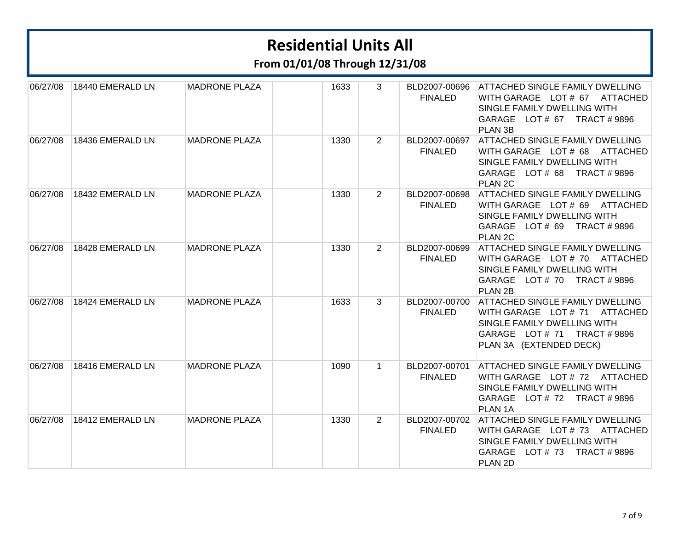**From 01/01/08 Through 12/31/08**

| 06/27/08 | 18440 EMERALD LN | <b>MADRONE PLAZA</b> | 1633 | 3              | BLD2007-00696<br><b>FINALED</b> | <b>ATTACHED SINGLE FAMILY DWELLING</b><br>WITH GARAGE LOT # 67 ATTACHED<br>SINGLE FAMILY DWELLING WITH<br>GARAGE LOT # 67 TRACT # 9896<br>PLAN 3B               |
|----------|------------------|----------------------|------|----------------|---------------------------------|-----------------------------------------------------------------------------------------------------------------------------------------------------------------|
| 06/27/08 | 18436 EMERALD LN | <b>MADRONE PLAZA</b> | 1330 | $\overline{2}$ | BLD2007-00697<br><b>FINALED</b> | <b>ATTACHED SINGLE FAMILY DWELLING</b><br>WITH GARAGE LOT # 68 ATTACHED<br>SINGLE FAMILY DWELLING WITH<br>GARAGE LOT # 68 TRACT # 9896<br>PLAN <sub>2C</sub>    |
| 06/27/08 | 18432 EMERALD LN | <b>MADRONE PLAZA</b> | 1330 | 2 <sup>1</sup> | BLD2007-00698<br><b>FINALED</b> | <b>ATTACHED SINGLE FAMILY DWELLING</b><br>WITH GARAGE LOT # 69<br>ATTACHED<br>SINGLE FAMILY DWELLING WITH<br>GARAGE LOT # 69 TRACT # 9896<br>PLAN <sub>2C</sub> |
| 06/27/08 | 18428 EMERALD LN | <b>MADRONE PLAZA</b> | 1330 | 2              | BLD2007-00699<br><b>FINALED</b> | <b>ATTACHED SINGLE FAMILY DWELLING</b><br>WITH GARAGE LOT # 70 ATTACHED<br>SINGLE FAMILY DWELLING WITH<br>GARAGE LOT #70 TRACT #9896<br>PLAN <sub>2B</sub>      |
| 06/27/08 | 18424 EMERALD LN | <b>MADRONE PLAZA</b> | 1633 | 3              | BLD2007-00700<br><b>FINALED</b> | <b>ATTACHED SINGLE FAMILY DWELLING</b><br>WITH GARAGE LOT # 71 ATTACHED<br>SINGLE FAMILY DWELLING WITH<br>GARAGE LOT #71 TRACT #9896<br>PLAN 3A (EXTENDED DECK) |
| 06/27/08 | 18416 EMERALD LN | <b>MADRONE PLAZA</b> | 1090 | $\mathbf{1}$   | BLD2007-00701<br><b>FINALED</b> | <b>ATTACHED SINGLE FAMILY DWELLING</b><br>WITH GARAGE LOT # 72 ATTACHED<br>SINGLE FAMILY DWELLING WITH<br>GARAGE LOT #72 TRACT #9896<br>PLAN <sub>1A</sub>      |
| 06/27/08 | 18412 EMERALD LN | <b>MADRONE PLAZA</b> | 1330 | $2^{\circ}$    | BLD2007-00702<br><b>FINALED</b> | <b>ATTACHED SINGLE FAMILY DWELLING</b><br>WITH GARAGE LOT # 73 ATTACHED<br>SINGLE FAMILY DWELLING WITH<br>GARAGE LOT #73<br>TRACT # 9896<br>PLAN 2D             |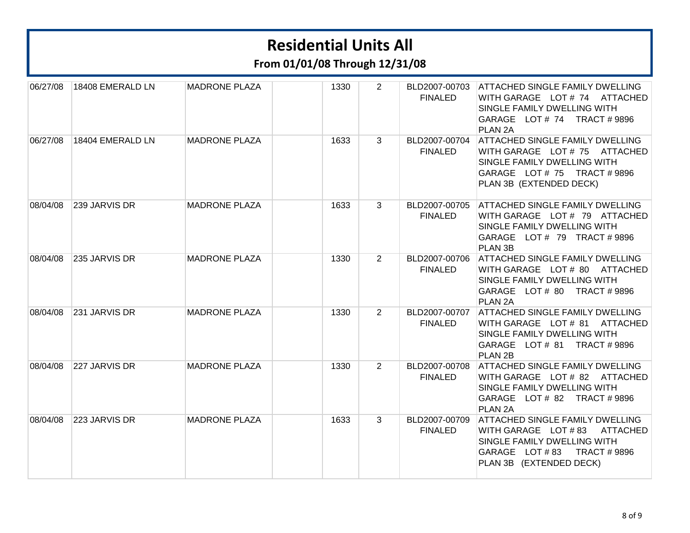**From 01/01/08 Through 12/31/08**

| 06/27/08 | 18408 EMERALD LN | <b>MADRONE PLAZA</b> | 1330 | $\mathbf{2}^{\prime}$ | BLD2007-00703<br><b>FINALED</b> | <b>ATTACHED SINGLE FAMILY DWELLING</b><br>WITH GARAGE LOT # 74 ATTACHED<br>SINGLE FAMILY DWELLING WITH<br>GARAGE LOT #74 TRACT #9896<br>PLAN <sub>2A</sub>                          |
|----------|------------------|----------------------|------|-----------------------|---------------------------------|-------------------------------------------------------------------------------------------------------------------------------------------------------------------------------------|
| 06/27/08 | 18404 EMERALD LN | <b>MADRONE PLAZA</b> | 1633 | 3                     | BLD2007-00704<br><b>FINALED</b> | <b>ATTACHED SINGLE FAMILY DWELLING</b><br>WITH GARAGE LOT # 75 ATTACHED<br>SINGLE FAMILY DWELLING WITH<br>GARAGE LOT #75 TRACT #9896<br>PLAN 3B (EXTENDED DECK)                     |
| 08/04/08 | 239 JARVIS DR    | <b>MADRONE PLAZA</b> | 1633 | 3                     | BLD2007-00705<br><b>FINALED</b> | <b>ATTACHED SINGLE FAMILY DWELLING</b><br>WITH GARAGE LOT # 79 ATTACHED<br>SINGLE FAMILY DWELLING WITH<br>GARAGE LOT # 79 TRACT # 9896<br>PLAN 3B                                   |
| 08/04/08 | 235 JARVIS DR    | <b>MADRONE PLAZA</b> | 1330 | $2^{\circ}$           | BLD2007-00706<br><b>FINALED</b> | <b>ATTACHED SINGLE FAMILY DWELLING</b><br>WITH GARAGE LOT # 80 ATTACHED<br>SINGLE FAMILY DWELLING WITH<br>GARAGE LOT # 80 TRACT # 9896<br>PLAN <sub>2A</sub>                        |
| 08/04/08 | 231 JARVIS DR    | <b>MADRONE PLAZA</b> | 1330 | 2                     | BLD2007-00707<br><b>FINALED</b> | <b>ATTACHED SINGLE FAMILY DWELLING</b><br>WITH GARAGE LOT # 81 ATTACHED<br>SINGLE FAMILY DWELLING WITH<br>GARAGE LOT # 81 TRACT # 9896<br>PLAN <sub>2B</sub>                        |
| 08/04/08 | 227 JARVIS DR    | <b>MADRONE PLAZA</b> | 1330 | $2^{\circ}$           | BLD2007-00708<br><b>FINALED</b> | <b>ATTACHED SINGLE FAMILY DWELLING</b><br>WITH GARAGE LOT # 82 ATTACHED<br>SINGLE FAMILY DWELLING WITH<br>GARAGE LOT # 82 TRACT # 9896<br>PLAN <sub>2A</sub>                        |
| 08/04/08 | 223 JARVIS DR    | <b>MADRONE PLAZA</b> | 1633 | 3                     | BLD2007-00709<br><b>FINALED</b> | <b>ATTACHED SINGLE FAMILY DWELLING</b><br>WITH GARAGE LOT #83<br><b>ATTACHED</b><br>SINGLE FAMILY DWELLING WITH<br>GARAGE LOT #83<br><b>TRACT # 9896</b><br>PLAN 3B (EXTENDED DECK) |